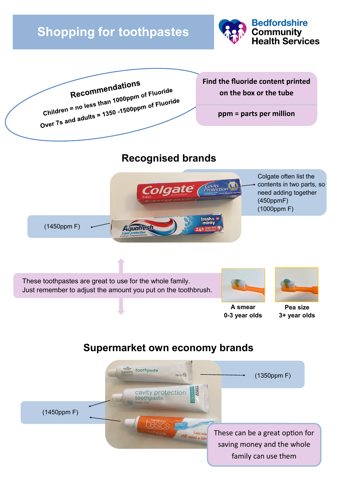# **Shopping for toothpastes**





# **Recognised brands**









**A smear 0-3 year olds**

**Pea size 3+ year olds**

# **Supermarket own economy brands**

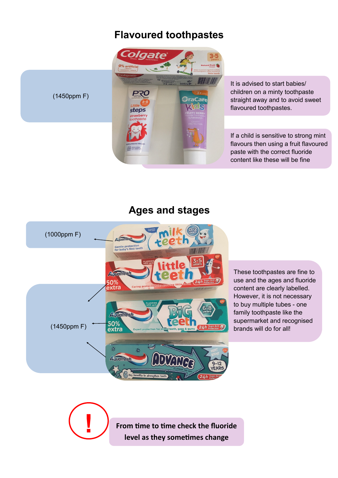#### **Flavoured toothpastes**



(1450ppm F)

It is advised to start babies/ children on a minty toothpaste straight away and to avoid sweet flavoured toothpastes.

If a child is sensitive to strong mint flavours then using a fruit flavoured paste with the correct fluoride content like these will be fine

#### **Ages and stages**



**!**

These toothpastes are fine to use and the ages and fluoride content are clearly labelled. However, it is not necessary to buy multiple tubes - one family toothpaste like the supermarket and recognised brands will do for all!

**From time to time check the fluoride level as they sometimes change**